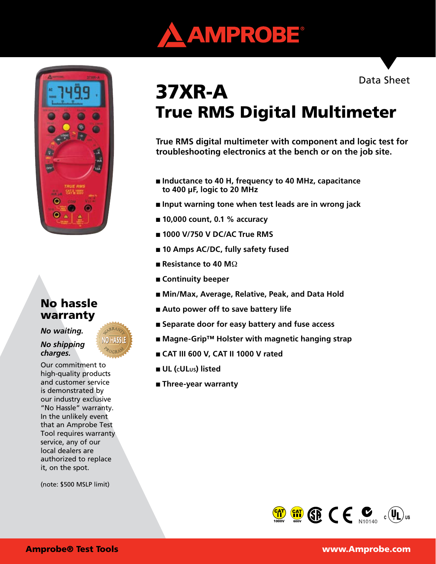



# No hassle warranty

*No waiting.* 

*No shipping charges.*

Our commitment to high-quality products and customer service is demonstrated by our industry exclusive "No Hassle" warranty. In the unlikely event that an Amprobe Test Tool requires warranty service, any of our local dealers are authorized to replace it, on the spot.

(note: \$500 MSLP limit)

# Data Sheet 37XR-A True RMS Digital Multimeter

**True RMS digital multimeter with component and logic test for troubleshooting electronics at the bench or on the job site.**

- **Inductance to 40 H, frequency to 40 MHz, capacitance to 400 μF, logic to 20 MHz**
- **Input warning tone when test leads are in wrong jack**
- **10,000 count, 0.1 % accuracy**
- **1000 V/750 V DC/AC True RMS**
- **10 Amps AC/DC, fully safety fused**
- **Resistance to 40 M**<sup>2</sup>
- **Continuity beeper**
- Min/Max, Average, Relative, Peak, and Data Hold
- Auto power off to save battery life
- Separate door for easy battery and fuse access
- Magne-Grip<sup>™</sup> Holster with magnetic hanging strap
- **CAT III 600 V, CAT II 1000 V rated**
- **UL (CULUS) listed**
- **Three-year warranty**

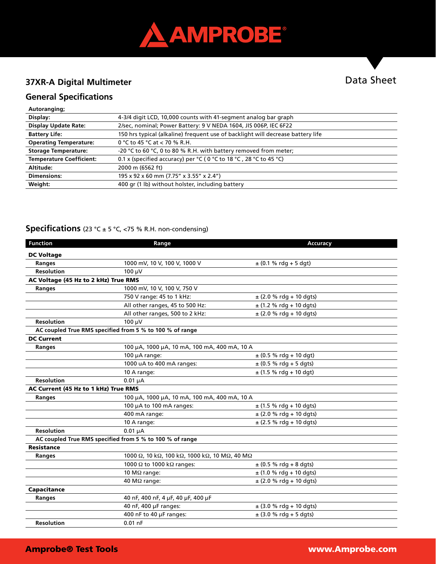

### **37XR-A Digital Multimeter**

# Data Sheet

### **General Specifications**

### **Autoranging;**

| Display:                        | 4-3/4 digit LCD, 10,000 counts with 41-segment analog bar graph                 |  |
|---------------------------------|---------------------------------------------------------------------------------|--|
| <b>Display Update Rate:</b>     | 2/sec, nominal; Power Battery: 9 V NEDA 1604, JIS 006P, IEC 6F22                |  |
| <b>Battery Life:</b>            | 150 hrs typical (alkaline) frequent use of backlight will decrease battery life |  |
| <b>Operating Temperature:</b>   | 0 °C to 45 °C at $<$ 70 % R.H.                                                  |  |
| <b>Storage Temperature:</b>     | -20 °C to 60 °C, 0 to 80 % R.H. with battery removed from meter;                |  |
| <b>Temperature Coefficient:</b> | 0.1 x (specified accuracy) per $°C$ ( 0 $°C$ to 18 $°C$ , 28 $°C$ to 45 $°C$ )  |  |
| Altitude:                       | 2000 m (6562 ft)                                                                |  |
| <b>Dimensions:</b>              | 195 x 92 x 60 mm (7.75" x 3.55" x 2.4")                                         |  |
| Weight:                         | 400 gr (1 lb) without holster, including battery                                |  |
|                                 |                                                                                 |  |

# **Specifications** (23 °C ± 5 °C, <75 % R.H. non-condensing)

| <b>Function</b>                                          | Range                                        | <b>Accuracy</b>             |  |
|----------------------------------------------------------|----------------------------------------------|-----------------------------|--|
| <b>DC Voltage</b>                                        |                                              |                             |  |
| <b>Ranges</b>                                            | 1000 mV, 10 V, 100 V, 1000 V                 | $\pm$ (0.1 % rdg + 5 dgt)   |  |
| <b>Resolution</b>                                        | 100 µV                                       |                             |  |
| AC Voltage (45 Hz to 2 kHz) True RMS                     |                                              |                             |  |
| Ranges                                                   | 1000 mV, 10 V, 100 V, 750 V                  |                             |  |
|                                                          | 750 V range: 45 to 1 kHz:                    | $\pm$ (2.0 % rdg + 10 dgts) |  |
|                                                          | All other ranges, 45 to 500 Hz:              | $\pm$ (1.2 % rdg + 10 dgts) |  |
|                                                          | All other ranges, 500 to 2 kHz:              | $\pm$ (2.0 % rdg + 10 dgts) |  |
| <b>Resolution</b>                                        | 100 µV                                       |                             |  |
| AC coupled True RMS specified from 5 % to 100 % of range |                                              |                             |  |
| <b>DC Current</b>                                        |                                              |                             |  |
| <b>Ranges</b>                                            | 100 μA, 1000 μA, 10 mA, 100 mA, 400 mA, 10 A |                             |  |
|                                                          | 100 µA range:                                | $\pm$ (0.5 % rdg + 10 dgt)  |  |
|                                                          | 1000 uA to 400 mA ranges:                    | $\pm$ (0.5 % rdg + 5 dgts)  |  |
|                                                          | 10 A range:                                  | $\pm$ (1.5 % rdg + 10 dgt)  |  |
| <b>Resolution</b>                                        | $0.01 \mu A$                                 |                             |  |
| AC Current (45 Hz to 1 kHz) True RMS                     |                                              |                             |  |
| <b>Ranges</b>                                            | 100 μA, 1000 μA, 10 mA, 100 mA, 400 mA, 10 A |                             |  |
|                                                          | 100 µA to 100 mA ranges:                     | $\pm$ (1.5 % rdg + 10 dgts) |  |
|                                                          | 400 mA range:                                | $\pm$ (2.0 % rdg + 10 dgts) |  |
|                                                          | 10 A range:                                  | $\pm$ (2.5 % rdg + 10 dgts) |  |
| <b>Resolution</b>                                        | $0.01 \mu A$                                 |                             |  |
| AC coupled True RMS specified from 5 % to 100 % of range |                                              |                             |  |
| <b>Resistance</b>                                        |                                              |                             |  |
| Ranges                                                   | 1000 Ω, 10 kΩ, 100 kΩ, 1000 kΩ, 10 MΩ, 40 MΩ |                             |  |
|                                                          | 1000 Ω to 1000 kΩ ranges:                    | $\pm$ (0.5 % rdg + 8 dgts)  |  |
|                                                          | 10 M $\Omega$ range:                         | $\pm$ (1.0 % rdg + 10 dgts) |  |
|                                                          | 40 MΩ range:                                 | $\pm$ (2.0 % rdg + 10 dgts) |  |
| Capacitance                                              |                                              |                             |  |
| <b>Ranges</b>                                            | 40 nF, 400 nF, 4 µF, 40 µF, 400 µF           |                             |  |
|                                                          | 40 nF, 400 µF ranges:                        | $\pm$ (3.0 % rdg + 10 dgts) |  |
|                                                          | 400 nF to 40 µF ranges:                      | $\pm$ (3.0 % rdg + 5 dgts)  |  |
| <b>Resolution</b>                                        | $0.01$ nF                                    |                             |  |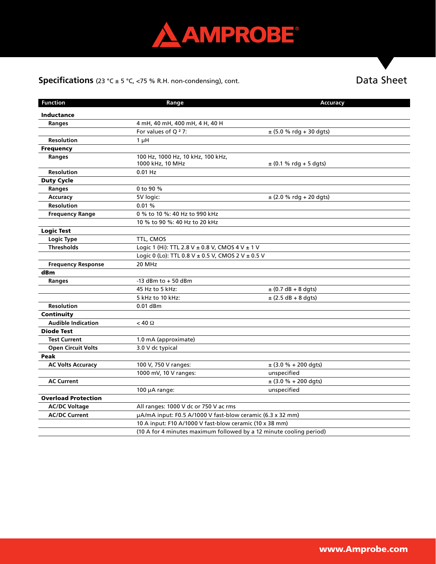

# **Specifications** (23 °C ± 5 °C, <75 % R.H. non-condensing), cont.

## Data Sheet

| <b>Function</b>            | Range                                                               | Accuracy                    |  |
|----------------------------|---------------------------------------------------------------------|-----------------------------|--|
| <b>Inductance</b>          |                                                                     |                             |  |
| Ranges                     | 4 mH, 40 mH, 400 mH, 4 H, 40 H                                      |                             |  |
|                            | For values of $Q^2$ 7:                                              | $\pm$ (5.0 % rdg + 30 dgts) |  |
| <b>Resolution</b>          | $1 \mu H$                                                           |                             |  |
| <b>Frequency</b>           |                                                                     |                             |  |
| Ranges                     | 100 Hz, 1000 Hz, 10 kHz, 100 kHz,                                   |                             |  |
|                            | 1000 kHz, 10 MHz                                                    | $\pm$ (0.1 % rdg + 5 dgts)  |  |
| <b>Resolution</b>          | $0.01$ Hz                                                           |                             |  |
| <b>Duty Cycle</b>          |                                                                     |                             |  |
| Ranges                     | 0 to 90 %                                                           |                             |  |
| Accuracy                   | 5V logic:                                                           | $\pm$ (2.0 % rdg + 20 dgts) |  |
| <b>Resolution</b>          | 0.01%                                                               |                             |  |
| <b>Frequency Range</b>     | 0 % to 10 %: 40 Hz to 990 kHz                                       |                             |  |
|                            | 10 % to 90 %: 40 Hz to 20 kHz                                       |                             |  |
| <b>Logic Test</b>          |                                                                     |                             |  |
| <b>Logic Type</b>          | TTL, CMOS                                                           |                             |  |
| <b>Thresholds</b>          | Logic 1 (Hi): TTL 2.8 V ± 0.8 V, CMOS 4 V ± 1 V                     |                             |  |
|                            | Logic 0 (Lo): TTL 0.8 V ± 0.5 V, CMOS 2 V ± 0.5 V                   |                             |  |
| <b>Frequency Response</b>  | 20 MHz                                                              |                             |  |
| dBm                        |                                                                     |                             |  |
| Ranges                     | $-13$ dBm to $+50$ dBm                                              |                             |  |
|                            | 45 Hz to 5 kHz:                                                     | $\pm$ (0.7 dB + 8 dgts)     |  |
|                            | 5 kHz to 10 kHz:                                                    | $\pm$ (2.5 dB + 8 dgts)     |  |
| <b>Resolution</b>          | $0.01$ dBm                                                          |                             |  |
| Continuity                 |                                                                     |                             |  |
| <b>Audible Indication</b>  | $< 40 \Omega$                                                       |                             |  |
| <b>Diode Test</b>          |                                                                     |                             |  |
| <b>Test Current</b>        | 1.0 mA (approximate)                                                |                             |  |
| <b>Open Circuit Volts</b>  | 3.0 V dc typical                                                    |                             |  |
| Peak                       |                                                                     |                             |  |
| <b>AC Volts Accuracy</b>   | 100 V, 750 V ranges:                                                | $\pm$ (3.0 % + 200 dgts)    |  |
|                            | 1000 mV, 10 V ranges:                                               | unspecified                 |  |
| <b>AC Current</b>          |                                                                     | $\pm$ (3.0 % + 200 dgts)    |  |
|                            | 100 µA range:                                                       | unspecified                 |  |
| <b>Overload Protection</b> |                                                                     |                             |  |
| <b>AC/DC Voltage</b>       | All ranges: 1000 V dc or 750 V ac rms                               |                             |  |
| <b>AC/DC Current</b>       | µA/mA input: F0.5 A/1000 V fast-blow ceramic (6.3 x 32 mm)          |                             |  |
|                            | 10 A input: F10 A/1000 V fast-blow ceramic (10 x 38 mm)             |                             |  |
|                            | (10 A for 4 minutes maximum followed by a 12 minute cooling period) |                             |  |